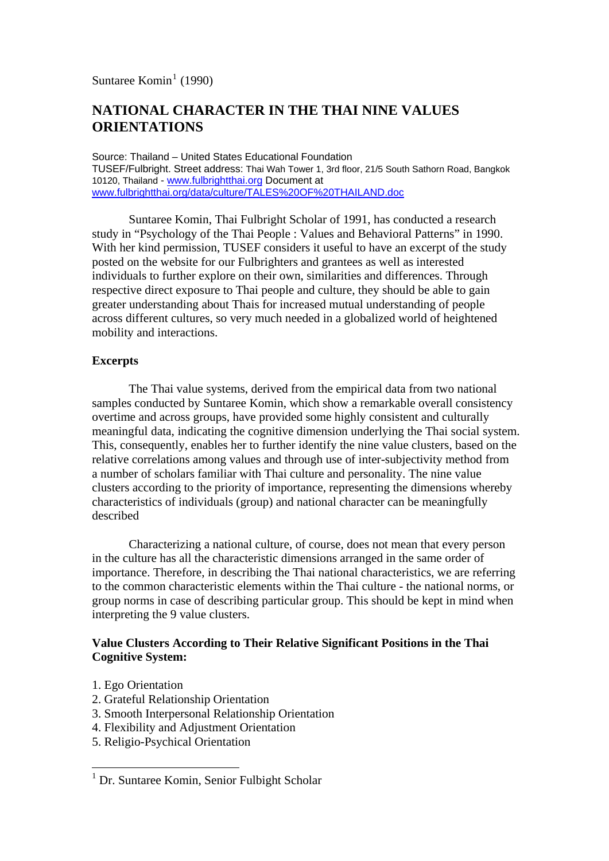Suntaree Komin<sup>[1](#page-0-0)</sup> (1990)

# **NATIONAL CHARACTER IN THE THAI NINE VALUES ORIENTATIONS**

Source: Thailand – United States Educational Foundation TUSEF/Fulbright. Street address: Thai Wah Tower 1, 3rd floor, 21/5 South Sathorn Road, Bangkok 10120, Thailand - [www.fulbrightthai.org](http://www.fulbrightthai.org/) Document at [www.fulbrightthai.org/data/culture/TALES%20OF%20THAILAND.doc](http://www.fulbrightthai.org/data/culture/TALES%20OF%20THAILAND.doc)

 Suntaree Komin, Thai Fulbright Scholar of 1991, has conducted a research study in "Psychology of the Thai People : Values and Behavioral Patterns" in 1990. With her kind permission, TUSEF considers it useful to have an excerpt of the study posted on the website for our Fulbrighters and grantees as well as interested individuals to further explore on their own, similarities and differences. Through respective direct exposure to Thai people and culture, they should be able to gain greater understanding about Thais for increased mutual understanding of people across different cultures, so very much needed in a globalized world of heightened mobility and interactions.

# **Excerpts**

The Thai value systems, derived from the empirical data from two national samples conducted by Suntaree Komin, which show a remarkable overall consistency overtime and across groups, have provided some highly consistent and culturally meaningful data, indicating the cognitive dimension underlying the Thai social system. This, consequently, enables her to further identify the nine value clusters, based on the relative correlations among values and through use of inter-subjectivity method from a number of scholars familiar with Thai culture and personality. The nine value clusters according to the priority of importance, representing the dimensions whereby characteristics of individuals (group) and national character can be meaningfully described

Characterizing a national culture, of course, does not mean that every person in the culture has all the characteristic dimensions arranged in the same order of importance. Therefore, in describing the Thai national characteristics, we are referring to the common characteristic elements within the Thai culture - the national norms, or group norms in case of describing particular group. This should be kept in mind when interpreting the 9 value clusters.

# **Value Clusters According to Their Relative Significant Positions in the Thai Cognitive System:**

1. Ego Orientation

1

- 2. Grateful Relationship Orientation
- 3. Smooth Interpersonal Relationship Orientation
- 4. Flexibility and Adjustment Orientation
- 5. Religio-Psychical Orientation

<span id="page-0-0"></span><sup>&</sup>lt;sup>1</sup> Dr. Suntaree Komin, Senior Fulbight Scholar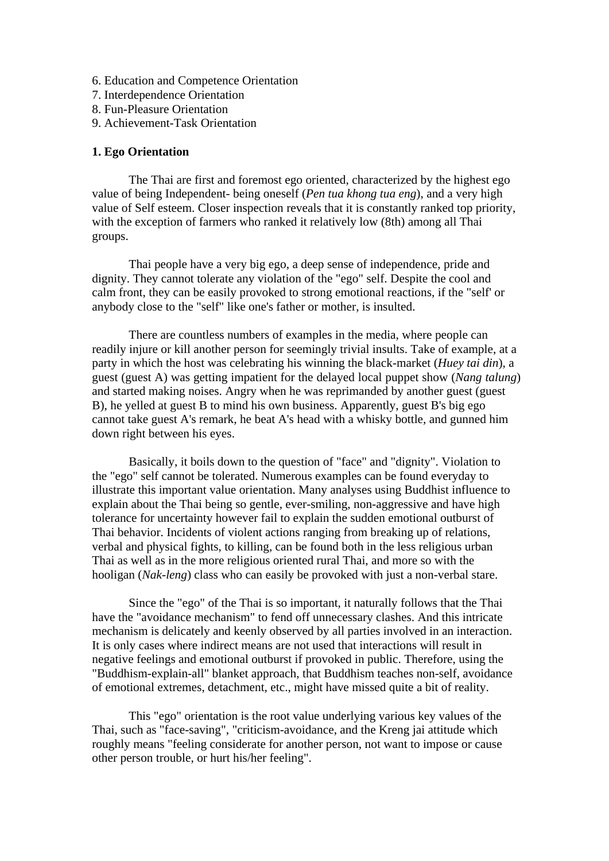- 6. Education and Competence Orientation
- 7. Interdependence Orientation
- 8. Fun-Pleasure Orientation
- 9. Achievement-Task Orientation

# **1. Ego Orientation**

The Thai are first and foremost ego oriented, characterized by the highest ego value of being Independent- being oneself (*Pen tua khong tua eng*), and a very high value of Self esteem. Closer inspection reveals that it is constantly ranked top priority, with the exception of farmers who ranked it relatively low (8th) among all Thai groups.

Thai people have a very big ego, a deep sense of independence, pride and dignity. They cannot tolerate any violation of the "ego" self. Despite the cool and calm front, they can be easily provoked to strong emotional reactions, if the "self' or anybody close to the "self" like one's father or mother, is insulted.

There are countless numbers of examples in the media, where people can readily injure or kill another person for seemingly trivial insults. Take of example, at a party in which the host was celebrating his winning the black-market (*Huey tai din*), a guest (guest A) was getting impatient for the delayed local puppet show (*Nang talung*) and started making noises. Angry when he was reprimanded by another guest (guest B), he yelled at guest B to mind his own business. Apparently, guest B's big ego cannot take guest A's remark, he beat A's head with a whisky bottle, and gunned him down right between his eyes.

Basically, it boils down to the question of "face" and "dignity". Violation to the "ego" self cannot be tolerated. Numerous examples can be found everyday to illustrate this important value orientation. Many analyses using Buddhist influence to explain about the Thai being so gentle, ever-smiling, non-aggressive and have high tolerance for uncertainty however fail to explain the sudden emotional outburst of Thai behavior. Incidents of violent actions ranging from breaking up of relations, verbal and physical fights, to killing, can be found both in the less religious urban Thai as well as in the more religious oriented rural Thai, and more so with the hooligan (*Nak-leng*) class who can easily be provoked with just a non-verbal stare.

Since the "ego" of the Thai is so important, it naturally follows that the Thai have the "avoidance mechanism" to fend off unnecessary clashes. And this intricate mechanism is delicately and keenly observed by all parties involved in an interaction. It is only cases where indirect means are not used that interactions will result in negative feelings and emotional outburst if provoked in public. Therefore, using the "Buddhism-explain-all" blanket approach, that Buddhism teaches non-self, avoidance of emotional extremes, detachment, etc., might have missed quite a bit of reality.

This "ego" orientation is the root value underlying various key values of the Thai, such as "face-saving", "criticism-avoidance, and the Kreng jai attitude which roughly means "feeling considerate for another person, not want to impose or cause other person trouble, or hurt his/her feeling".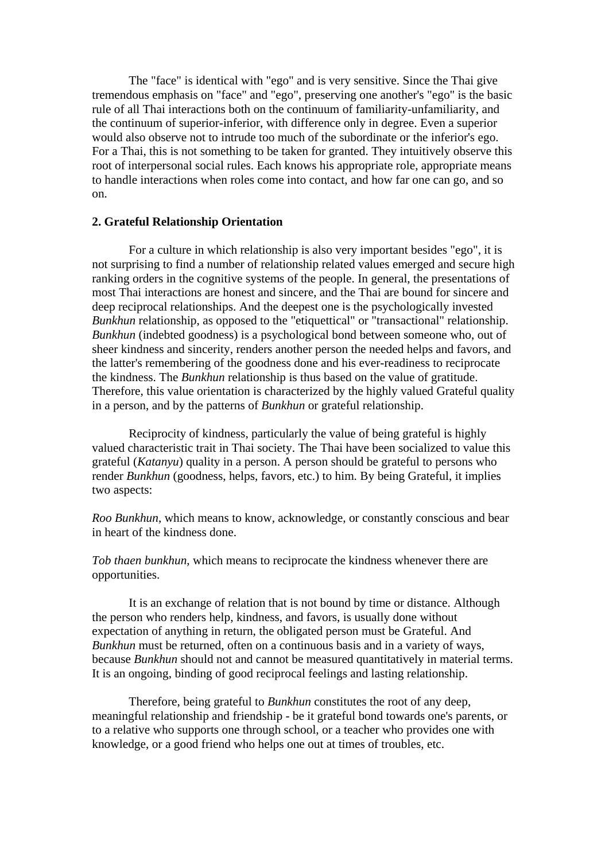The "face" is identical with "ego" and is very sensitive. Since the Thai give tremendous emphasis on "face" and "ego", preserving one another's "ego" is the basic rule of all Thai interactions both on the continuum of familiarity-unfamiliarity, and the continuum of superior-inferior, with difference only in degree. Even a superior would also observe not to intrude too much of the subordinate or the inferior's ego. For a Thai, this is not something to be taken for granted. They intuitively observe this root of interpersonal social rules. Each knows his appropriate role, appropriate means to handle interactions when roles come into contact, and how far one can go, and so on.

# **2. Grateful Relationship Orientation**

For a culture in which relationship is also very important besides "ego", it is not surprising to find a number of relationship related values emerged and secure high ranking orders in the cognitive systems of the people. In general, the presentations of most Thai interactions are honest and sincere, and the Thai are bound for sincere and deep reciprocal relationships. And the deepest one is the psychologically invested *Bunkhun* relationship, as opposed to the "etiquettical" or "transactional" relationship. *Bunkhun* (indebted goodness) is a psychological bond between someone who, out of sheer kindness and sincerity, renders another person the needed helps and favors, and the latter's remembering of the goodness done and his ever-readiness to reciprocate the kindness. The *Bunkhun* relationship is thus based on the value of gratitude. Therefore, this value orientation is characterized by the highly valued Grateful quality in a person, and by the patterns of *Bunkhun* or grateful relationship.

Reciprocity of kindness, particularly the value of being grateful is highly valued characteristic trait in Thai society. The Thai have been socialized to value this grateful (*Katanyu*) quality in a person. A person should be grateful to persons who render *Bunkhun* (goodness, helps, favors, etc.) to him. By being Grateful, it implies two aspects:

*Roo Bunkhun*, which means to know, acknowledge, or constantly conscious and bear in heart of the kindness done.

*Tob thaen bunkhun*, which means to reciprocate the kindness whenever there are opportunities.

It is an exchange of relation that is not bound by time or distance. Although the person who renders help, kindness, and favors, is usually done without expectation of anything in return, the obligated person must be Grateful. And *Bunkhun* must be returned, often on a continuous basis and in a variety of ways, because *Bunkhun* should not and cannot be measured quantitatively in material terms. It is an ongoing, binding of good reciprocal feelings and lasting relationship.

Therefore, being grateful to *Bunkhun* constitutes the root of any deep, meaningful relationship and friendship - be it grateful bond towards one's parents, or to a relative who supports one through school, or a teacher who provides one with knowledge, or a good friend who helps one out at times of troubles, etc.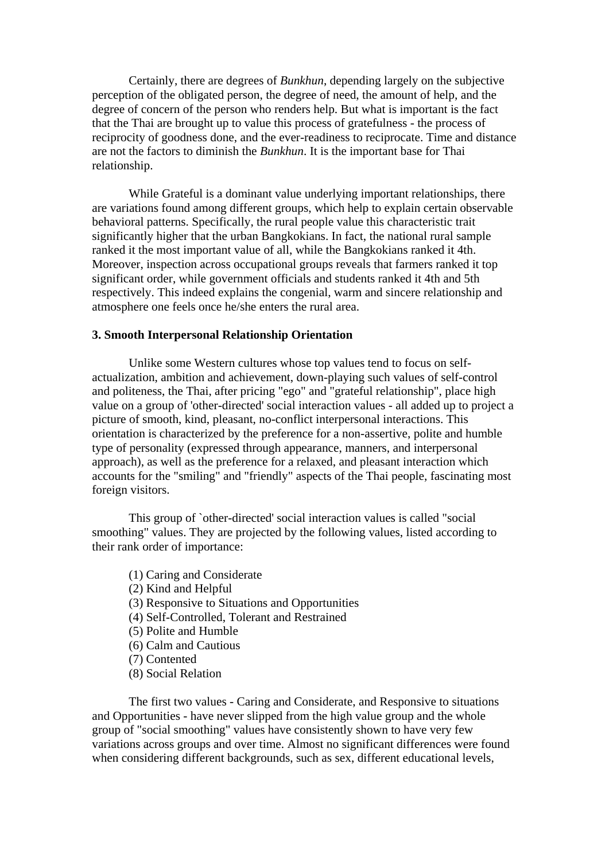Certainly, there are degrees of *Bunkhun*, depending largely on the subjective perception of the obligated person, the degree of need, the amount of help, and the degree of concern of the person who renders help. But what is important is the fact that the Thai are brought up to value this process of gratefulness - the process of reciprocity of goodness done, and the ever-readiness to reciprocate. Time and distance are not the factors to diminish the *Bunkhun*. It is the important base for Thai relationship.

While Grateful is a dominant value underlying important relationships, there are variations found among different groups, which help to explain certain observable behavioral patterns. Specifically, the rural people value this characteristic trait significantly higher that the urban Bangkokians. In fact, the national rural sample ranked it the most important value of all, while the Bangkokians ranked it 4th. Moreover, inspection across occupational groups reveals that farmers ranked it top significant order, while government officials and students ranked it 4th and 5th respectively. This indeed explains the congenial, warm and sincere relationship and atmosphere one feels once he/she enters the rural area.

### **3. Smooth Interpersonal Relationship Orientation**

Unlike some Western cultures whose top values tend to focus on selfactualization, ambition and achievement, down-playing such values of self-control and politeness, the Thai, after pricing "ego" and "grateful relationship", place high value on a group of 'other-directed' social interaction values - all added up to project a picture of smooth, kind, pleasant, no-conflict interpersonal interactions. This orientation is characterized by the preference for a non-assertive, polite and humble type of personality (expressed through appearance, manners, and interpersonal approach), as well as the preference for a relaxed, and pleasant interaction which accounts for the "smiling" and "friendly" aspects of the Thai people, fascinating most foreign visitors.

This group of `other-directed' social interaction values is called "social smoothing" values. They are projected by the following values, listed according to their rank order of importance:

- (1) Caring and Considerate
- (2) Kind and Helpful
- (3) Responsive to Situations and Opportunities
- (4) Self-Controlled, Tolerant and Restrained
- (5) Polite and Humble
- (6) Calm and Cautious
- (7) Contented
- (8) Social Relation

The first two values - Caring and Considerate, and Responsive to situations and Opportunities - have never slipped from the high value group and the whole group of "social smoothing" values have consistently shown to have very few variations across groups and over time. Almost no significant differences were found when considering different backgrounds, such as sex, different educational levels,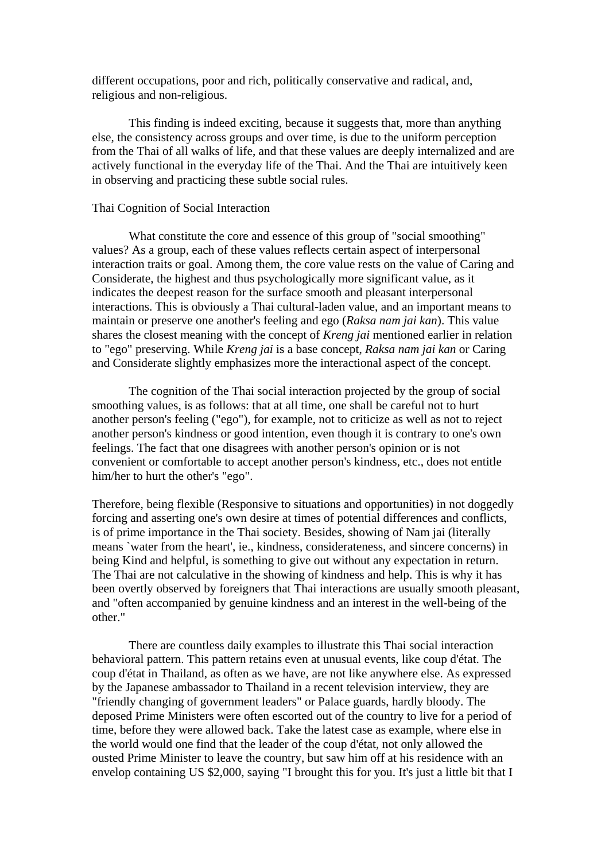different occupations, poor and rich, politically conservative and radical, and, religious and non-religious.

This finding is indeed exciting, because it suggests that, more than anything else, the consistency across groups and over time, is due to the uniform perception from the Thai of all walks of life, and that these values are deeply internalized and are actively functional in the everyday life of the Thai. And the Thai are intuitively keen in observing and practicing these subtle social rules.

# Thai Cognition of Social Interaction

What constitute the core and essence of this group of "social smoothing" values? As a group, each of these values reflects certain aspect of interpersonal interaction traits or goal. Among them, the core value rests on the value of Caring and Considerate, the highest and thus psychologically more significant value, as it indicates the deepest reason for the surface smooth and pleasant interpersonal interactions. This is obviously a Thai cultural-laden value, and an important means to maintain or preserve one another's feeling and ego (*Raksa nam jai kan*). This value shares the closest meaning with the concept of *Kreng jai* mentioned earlier in relation to "ego" preserving. While *Kreng jai* is a base concept, *Raksa nam jai kan* or Caring and Considerate slightly emphasizes more the interactional aspect of the concept.

The cognition of the Thai social interaction projected by the group of social smoothing values, is as follows: that at all time, one shall be careful not to hurt another person's feeling ("ego"), for example, not to criticize as well as not to reject another person's kindness or good intention, even though it is contrary to one's own feelings. The fact that one disagrees with another person's opinion or is not convenient or comfortable to accept another person's kindness, etc., does not entitle him/her to hurt the other's "ego".

Therefore, being flexible (Responsive to situations and opportunities) in not doggedly forcing and asserting one's own desire at times of potential differences and conflicts, is of prime importance in the Thai society. Besides, showing of Nam jai (literally means `water from the heart', ie., kindness, considerateness, and sincere concerns) in being Kind and helpful, is something to give out without any expectation in return. The Thai are not calculative in the showing of kindness and help. This is why it has been overtly observed by foreigners that Thai interactions are usually smooth pleasant, and "often accompanied by genuine kindness and an interest in the well-being of the other."

There are countless daily examples to illustrate this Thai social interaction behavioral pattern. This pattern retains even at unusual events, like coup d'état. The coup d'état in Thailand, as often as we have, are not like anywhere else. As expressed by the Japanese ambassador to Thailand in a recent television interview, they are "friendly changing of government leaders" or Palace guards, hardly bloody. The deposed Prime Ministers were often escorted out of the country to live for a period of time, before they were allowed back. Take the latest case as example, where else in the world would one find that the leader of the coup d'état, not only allowed the ousted Prime Minister to leave the country, but saw him off at his residence with an envelop containing US \$2,000, saying "I brought this for you. It's just a little bit that I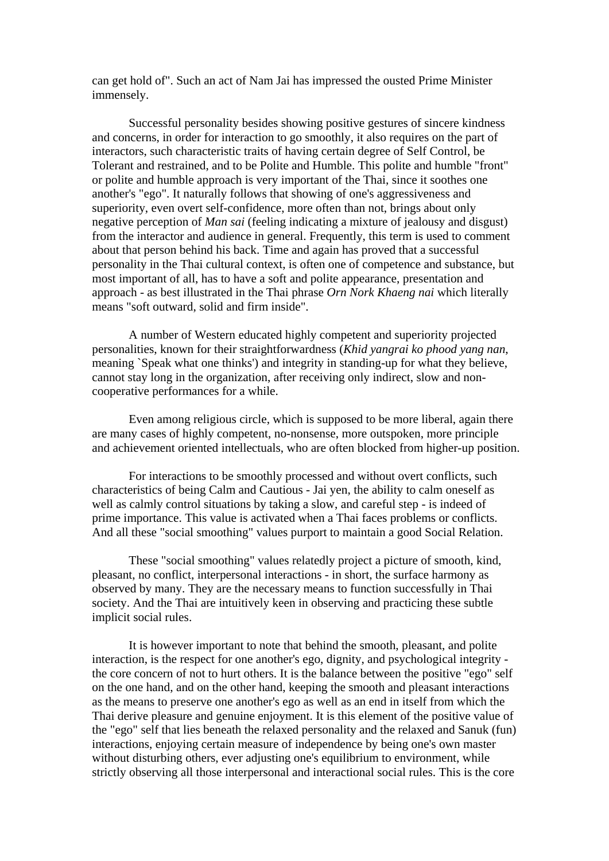can get hold of". Such an act of Nam Jai has impressed the ousted Prime Minister immensely.

Successful personality besides showing positive gestures of sincere kindness and concerns, in order for interaction to go smoothly, it also requires on the part of interactors, such characteristic traits of having certain degree of Self Control, be Tolerant and restrained, and to be Polite and Humble. This polite and humble "front" or polite and humble approach is very important of the Thai, since it soothes one another's "ego". It naturally follows that showing of one's aggressiveness and superiority, even overt self-confidence, more often than not, brings about only negative perception of *Man sai* (feeling indicating a mixture of jealousy and disgust) from the interactor and audience in general. Frequently, this term is used to comment about that person behind his back. Time and again has proved that a successful personality in the Thai cultural context, is often one of competence and substance, but most important of all, has to have a soft and polite appearance, presentation and approach - as best illustrated in the Thai phrase *Orn Nork Khaeng nai* which literally means "soft outward, solid and firm inside".

A number of Western educated highly competent and superiority projected personalities, known for their straightforwardness (*Khid yangrai ko phood yang nan*, meaning `Speak what one thinks') and integrity in standing-up for what they believe, cannot stay long in the organization, after receiving only indirect, slow and noncooperative performances for a while.

 Even among religious circle, which is supposed to be more liberal, again there are many cases of highly competent, no-nonsense, more outspoken, more principle and achievement oriented intellectuals, who are often blocked from higher-up position.

For interactions to be smoothly processed and without overt conflicts, such characteristics of being Calm and Cautious - Jai yen, the ability to calm oneself as well as calmly control situations by taking a slow, and careful step - is indeed of prime importance. This value is activated when a Thai faces problems or conflicts. And all these "social smoothing" values purport to maintain a good Social Relation.

These "social smoothing" values relatedly project a picture of smooth, kind, pleasant, no conflict, interpersonal interactions - in short, the surface harmony as observed by many. They are the necessary means to function successfully in Thai society. And the Thai are intuitively keen in observing and practicing these subtle implicit social rules.

It is however important to note that behind the smooth, pleasant, and polite interaction, is the respect for one another's ego, dignity, and psychological integrity the core concern of not to hurt others. It is the balance between the positive "ego" self on the one hand, and on the other hand, keeping the smooth and pleasant interactions as the means to preserve one another's ego as well as an end in itself from which the Thai derive pleasure and genuine enjoyment. It is this element of the positive value of the "ego" self that lies beneath the relaxed personality and the relaxed and Sanuk (fun) interactions, enjoying certain measure of independence by being one's own master without disturbing others, ever adjusting one's equilibrium to environment, while strictly observing all those interpersonal and interactional social rules. This is the core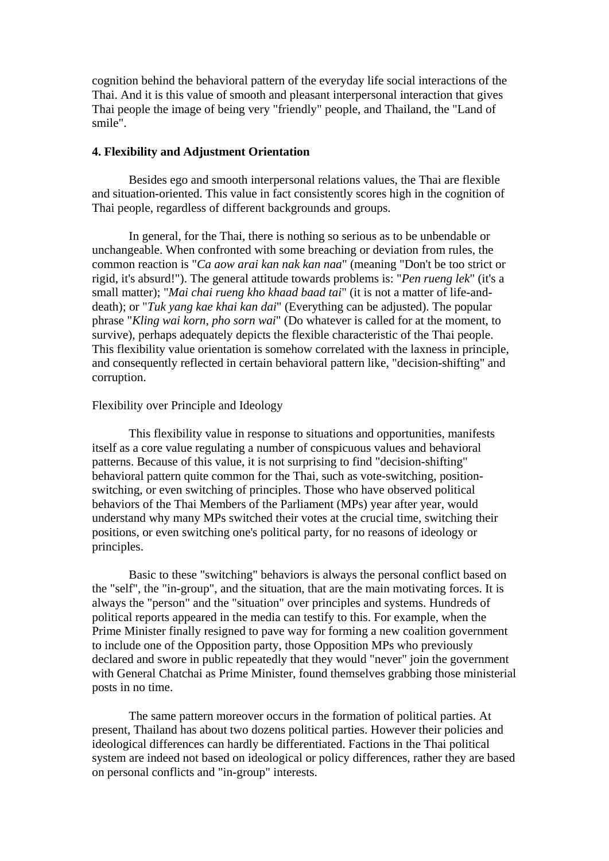cognition behind the behavioral pattern of the everyday life social interactions of the Thai. And it is this value of smooth and pleasant interpersonal interaction that gives Thai people the image of being very "friendly" people, and Thailand, the "Land of smile".

# **4. Flexibility and Adjustment Orientation**

Besides ego and smooth interpersonal relations values, the Thai are flexible and situation-oriented. This value in fact consistently scores high in the cognition of Thai people, regardless of different backgrounds and groups.

In general, for the Thai, there is nothing so serious as to be unbendable or unchangeable. When confronted with some breaching or deviation from rules, the common reaction is "*Ca aow arai kan nak kan naa*" (meaning "Don't be too strict or rigid, it's absurd!"). The general attitude towards problems is: "*Pen rueng lek*" (it's a small matter); "*Mai chai rueng kho khaad baad tai*" (it is not a matter of life-anddeath); or "*Tuk yang kae khai kan dai*" (Everything can be adjusted). The popular phrase "*Kling wai korn, pho sorn wai*" (Do whatever is called for at the moment, to survive), perhaps adequately depicts the flexible characteristic of the Thai people. This flexibility value orientation is somehow correlated with the laxness in principle, and consequently reflected in certain behavioral pattern like, "decision-shifting" and corruption.

### Flexibility over Principle and Ideology

This flexibility value in response to situations and opportunities, manifests itself as a core value regulating a number of conspicuous values and behavioral patterns. Because of this value, it is not surprising to find "decision-shifting" behavioral pattern quite common for the Thai, such as vote-switching, positionswitching, or even switching of principles. Those who have observed political behaviors of the Thai Members of the Parliament (MPs) year after year, would understand why many MPs switched their votes at the crucial time, switching their positions, or even switching one's political party, for no reasons of ideology or principles.

Basic to these "switching" behaviors is always the personal conflict based on the "self", the "in-group", and the situation, that are the main motivating forces. It is always the "person" and the "situation" over principles and systems. Hundreds of political reports appeared in the media can testify to this. For example, when the Prime Minister finally resigned to pave way for forming a new coalition government to include one of the Opposition party, those Opposition MPs who previously declared and swore in public repeatedly that they would "never" join the government with General Chatchai as Prime Minister, found themselves grabbing those ministerial posts in no time.

The same pattern moreover occurs in the formation of political parties. At present, Thailand has about two dozens political parties. However their policies and ideological differences can hardly be differentiated. Factions in the Thai political system are indeed not based on ideological or policy differences, rather they are based on personal conflicts and "in-group" interests.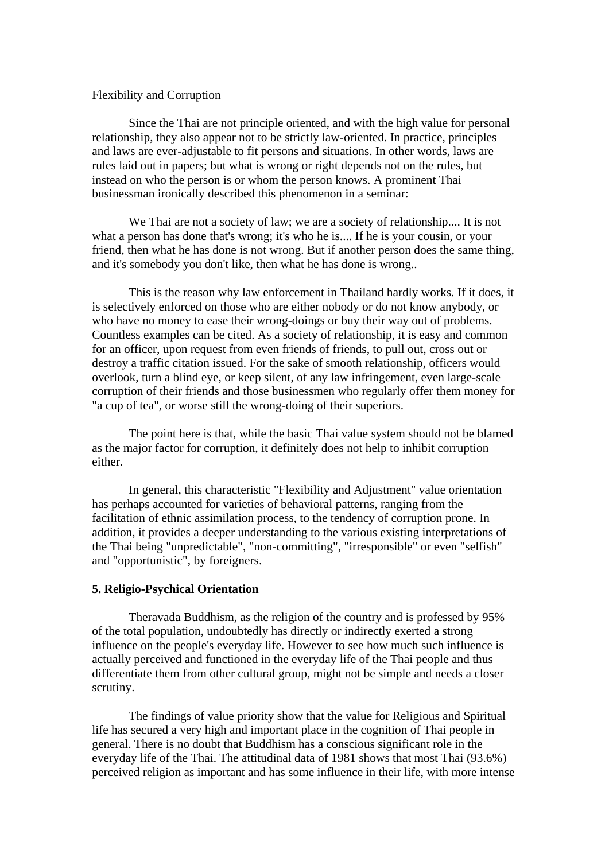### Flexibility and Corruption

Since the Thai are not principle oriented, and with the high value for personal relationship, they also appear not to be strictly law-oriented. In practice, principles and laws are ever-adjustable to fit persons and situations. In other words, laws are rules laid out in papers; but what is wrong or right depends not on the rules, but instead on who the person is or whom the person knows. A prominent Thai businessman ironically described this phenomenon in a seminar:

We Thai are not a society of law; we are a society of relationship.... It is not what a person has done that's wrong; it's who he is.... If he is your cousin, or your friend, then what he has done is not wrong. But if another person does the same thing, and it's somebody you don't like, then what he has done is wrong..

This is the reason why law enforcement in Thailand hardly works. If it does, it is selectively enforced on those who are either nobody or do not know anybody, or who have no money to ease their wrong-doings or buy their way out of problems. Countless examples can be cited. As a society of relationship, it is easy and common for an officer, upon request from even friends of friends, to pull out, cross out or destroy a traffic citation issued. For the sake of smooth relationship, officers would overlook, turn a blind eye, or keep silent, of any law infringement, even large-scale corruption of their friends and those businessmen who regularly offer them money for "a cup of tea", or worse still the wrong-doing of their superiors.

The point here is that, while the basic Thai value system should not be blamed as the major factor for corruption, it definitely does not help to inhibit corruption either.

In general, this characteristic "Flexibility and Adjustment" value orientation has perhaps accounted for varieties of behavioral patterns, ranging from the facilitation of ethnic assimilation process, to the tendency of corruption prone. In addition, it provides a deeper understanding to the various existing interpretations of the Thai being "unpredictable", "non-committing", "irresponsible" or even "selfish" and "opportunistic", by foreigners.

# **5. Religio-Psychical Orientation**

Theravada Buddhism, as the religion of the country and is professed by 95% of the total population, undoubtedly has directly or indirectly exerted a strong influence on the people's everyday life. However to see how much such influence is actually perceived and functioned in the everyday life of the Thai people and thus differentiate them from other cultural group, might not be simple and needs a closer scrutiny.

The findings of value priority show that the value for Religious and Spiritual life has secured a very high and important place in the cognition of Thai people in general. There is no doubt that Buddhism has a conscious significant role in the everyday life of the Thai. The attitudinal data of 1981 shows that most Thai (93.6%) perceived religion as important and has some influence in their life, with more intense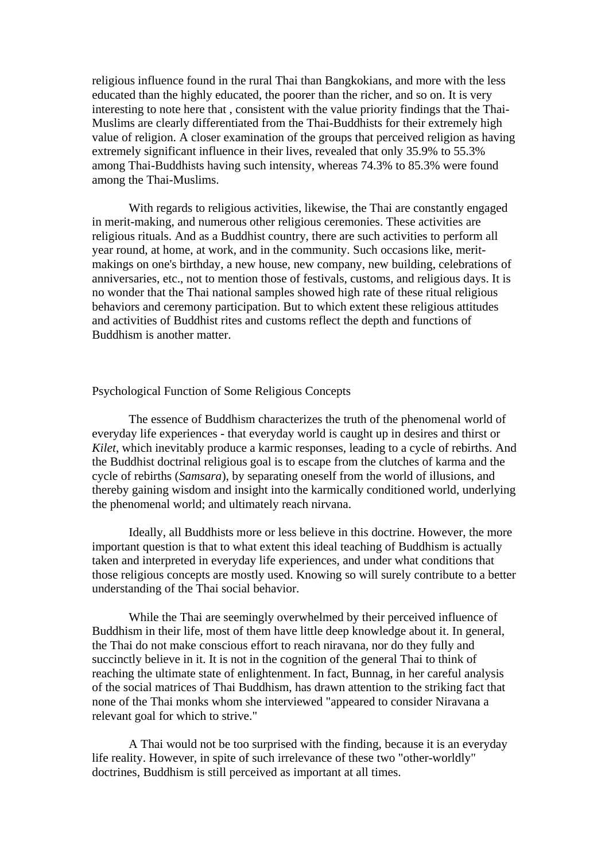religious influence found in the rural Thai than Bangkokians, and more with the less educated than the highly educated, the poorer than the richer, and so on. It is very interesting to note here that , consistent with the value priority findings that the Thai-Muslims are clearly differentiated from the Thai-Buddhists for their extremely high value of religion. A closer examination of the groups that perceived religion as having extremely significant influence in their lives, revealed that only 35.9% to 55.3% among Thai-Buddhists having such intensity, whereas 74.3% to 85.3% were found among the Thai-Muslims.

With regards to religious activities, likewise, the Thai are constantly engaged in merit-making, and numerous other religious ceremonies. These activities are religious rituals. And as a Buddhist country, there are such activities to perform all year round, at home, at work, and in the community. Such occasions like, meritmakings on one's birthday, a new house, new company, new building, celebrations of anniversaries, etc., not to mention those of festivals, customs, and religious days. It is no wonder that the Thai national samples showed high rate of these ritual religious behaviors and ceremony participation. But to which extent these religious attitudes and activities of Buddhist rites and customs reflect the depth and functions of Buddhism is another matter.

## Psychological Function of Some Religious Concepts

The essence of Buddhism characterizes the truth of the phenomenal world of everyday life experiences - that everyday world is caught up in desires and thirst or *Kilet*, which inevitably produce a karmic responses, leading to a cycle of rebirths. And the Buddhist doctrinal religious goal is to escape from the clutches of karma and the cycle of rebirths (*Samsara*), by separating oneself from the world of illusions, and thereby gaining wisdom and insight into the karmically conditioned world, underlying the phenomenal world; and ultimately reach nirvana.

Ideally, all Buddhists more or less believe in this doctrine. However, the more important question is that to what extent this ideal teaching of Buddhism is actually taken and interpreted in everyday life experiences, and under what conditions that those religious concepts are mostly used. Knowing so will surely contribute to a better understanding of the Thai social behavior.

While the Thai are seemingly overwhelmed by their perceived influence of Buddhism in their life, most of them have little deep knowledge about it. In general, the Thai do not make conscious effort to reach niravana, nor do they fully and succinctly believe in it. It is not in the cognition of the general Thai to think of reaching the ultimate state of enlightenment. In fact, Bunnag, in her careful analysis of the social matrices of Thai Buddhism, has drawn attention to the striking fact that none of the Thai monks whom she interviewed "appeared to consider Niravana a relevant goal for which to strive."

A Thai would not be too surprised with the finding, because it is an everyday life reality. However, in spite of such irrelevance of these two "other-worldly" doctrines, Buddhism is still perceived as important at all times.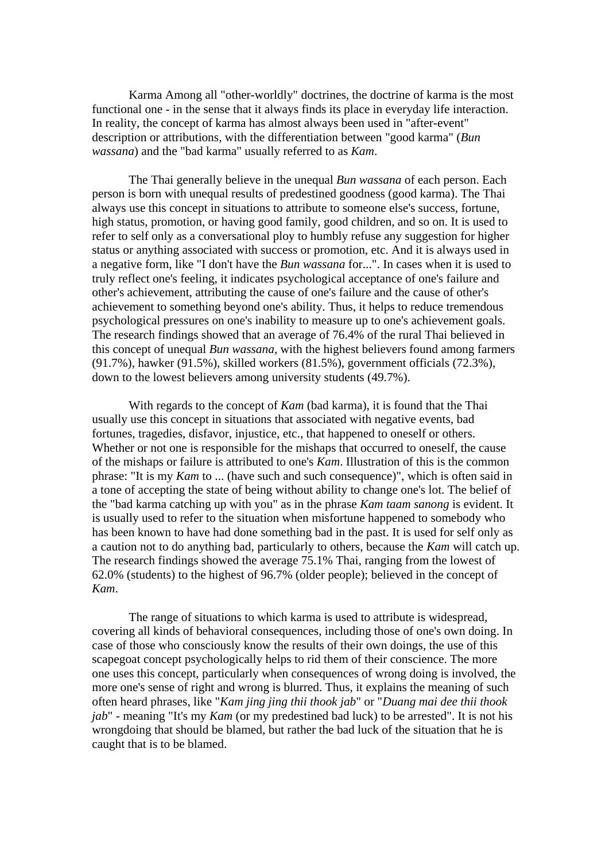Karma Among all "other-worldly" doctrines, the doctrine of karma is the most functional one - in the sense that it always finds its place in everyday life interaction. In reality, the concept of karma has almost always been used in "after-event" description or attributions, with the differentiation between "good karma" (*Bun wassana*) and the "bad karma" usually referred to as *Kam*.

The Thai generally believe in the unequal *Bun wassana* of each person. Each person is born with unequal results of predestined goodness (good karma). The Thai always use this concept in situations to attribute to someone else's success, fortune, high status, promotion, or having good family, good children, and so on. It is used to refer to self only as a conversational ploy to humbly refuse any suggestion for higher status or anything associated with success or promotion, etc. And it is always used in a negative form, like "I don't have the *Bun wassana* for...". In cases when it is used to truly reflect one's feeling, it indicates psychological acceptance of one's failure and other's achievement, attributing the cause of one's failure and the cause of other's achievement to something beyond one's ability. Thus, it helps to reduce tremendous psychological pressures on one's inability to measure up to one's achievement goals. The research findings showed that an average of 76.4% of the rural Thai believed in this concept of unequal *Bun wassana*, with the highest believers found among farmers (91.7%), hawker (91.5%), skilled workers (81.5%), government officials (72.3%), down to the lowest believers among university students (49.7%).

With regards to the concept of *Kam* (bad karma), it is found that the Thai usually use this concept in situations that associated with negative events, bad fortunes, tragedies, disfavor, injustice, etc., that happened to oneself or others. Whether or not one is responsible for the mishaps that occurred to oneself, the cause of the mishaps or failure is attributed to one's *Kam*. Illustration of this is the common phrase: "It is my *Kam* to ... (have such and such consequence)", which is often said in a tone of accepting the state of being without ability to change one's lot. The belief of the "bad karma catching up with you" as in the phrase *Kam taam sanong* is evident. It is usually used to refer to the situation when misfortune happened to somebody who has been known to have had done something bad in the past. It is used for self only as a caution not to do anything bad, particularly to others, because the *Kam* will catch up. The research findings showed the average 75.1% Thai, ranging from the lowest of 62.0% (students) to the highest of 96.7% (older people); believed in the concept of *Kam*.

The range of situations to which karma is used to attribute is widespread, covering all kinds of behavioral consequences, including those of one's own doing. In case of those who consciously know the results of their own doings, the use of this scapegoat concept psychologically helps to rid them of their conscience. The more one uses this concept, particularly when consequences of wrong doing is involved, the more one's sense of right and wrong is blurred. Thus, it explains the meaning of such often heard phrases, like "*Kam jing jing thii thook jab*" or "*Duang mai dee thii thook jab*" - meaning "It's my *Kam* (or my predestined bad luck) to be arrested". It is not his wrongdoing that should be blamed, but rather the bad luck of the situation that he is caught that is to be blamed.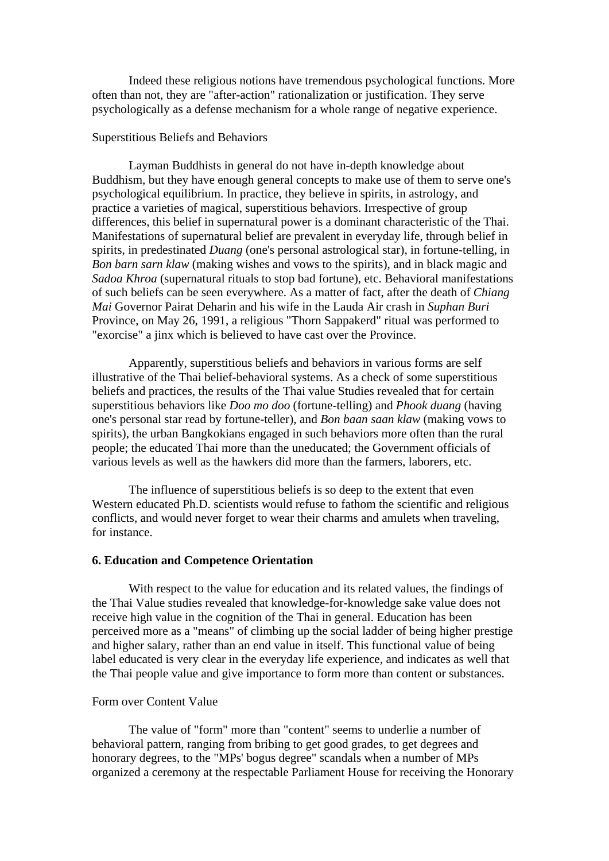Indeed these religious notions have tremendous psychological functions. More often than not, they are "after-action" rationalization or justification. They serve psychologically as a defense mechanism for a whole range of negative experience.

## Superstitious Beliefs and Behaviors

Layman Buddhists in general do not have in-depth knowledge about Buddhism, but they have enough general concepts to make use of them to serve one's psychological equilibrium. In practice, they believe in spirits, in astrology, and practice a varieties of magical, superstitious behaviors. Irrespective of group differences, this belief in supernatural power is a dominant characteristic of the Thai. Manifestations of supernatural belief are prevalent in everyday life, through belief in spirits, in predestinated *Duang* (one's personal astrological star), in fortune-telling, in *Bon barn sarn klaw* (making wishes and vows to the spirits), and in black magic and *Sadoa Khroa* (supernatural rituals to stop bad fortune), etc. Behavioral manifestations of such beliefs can be seen everywhere. As a matter of fact, after the death of *Chiang Mai* Governor Pairat Deharin and his wife in the Lauda Air crash in *Suphan Buri* Province, on May 26, 1991, a religious "Thorn Sappakerd" ritual was performed to "exorcise" a jinx which is believed to have cast over the Province.

Apparently, superstitious beliefs and behaviors in various forms are self illustrative of the Thai belief-behavioral systems. As a check of some superstitious beliefs and practices, the results of the Thai value Studies revealed that for certain superstitious behaviors like *Doo mo doo* (fortune-telling) and *Phook duang* (having one's personal star read by fortune-teller), and *Bon baan saan klaw* (making vows to spirits), the urban Bangkokians engaged in such behaviors more often than the rural people; the educated Thai more than the uneducated; the Government officials of various levels as well as the hawkers did more than the farmers, laborers, etc.

The influence of superstitious beliefs is so deep to the extent that even Western educated Ph.D. scientists would refuse to fathom the scientific and religious conflicts, and would never forget to wear their charms and amulets when traveling, for instance.

#### **6. Education and Competence Orientation**

With respect to the value for education and its related values, the findings of the Thai Value studies revealed that knowledge-for-knowledge sake value does not receive high value in the cognition of the Thai in general. Education has been perceived more as a "means" of climbing up the social ladder of being higher prestige and higher salary, rather than an end value in itself. This functional value of being label educated is very clear in the everyday life experience, and indicates as well that the Thai people value and give importance to form more than content or substances.

# Form over Content Value

The value of "form" more than "content" seems to underlie a number of behavioral pattern, ranging from bribing to get good grades, to get degrees and honorary degrees, to the "MPs' bogus degree" scandals when a number of MPs organized a ceremony at the respectable Parliament House for receiving the Honorary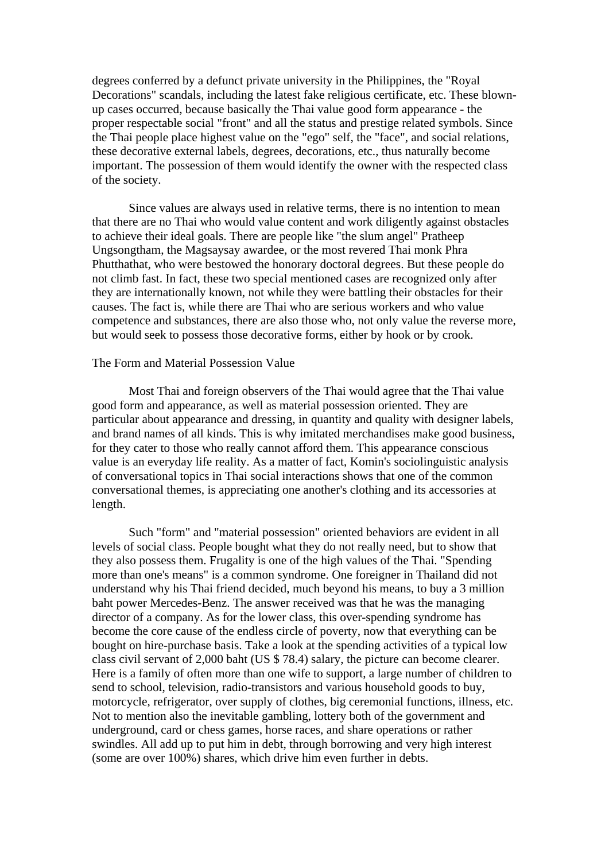degrees conferred by a defunct private university in the Philippines, the "Royal Decorations" scandals, including the latest fake religious certificate, etc. These blownup cases occurred, because basically the Thai value good form appearance - the proper respectable social "front" and all the status and prestige related symbols. Since the Thai people place highest value on the "ego" self, the "face", and social relations, these decorative external labels, degrees, decorations, etc., thus naturally become important. The possession of them would identify the owner with the respected class of the society.

Since values are always used in relative terms, there is no intention to mean that there are no Thai who would value content and work diligently against obstacles to achieve their ideal goals. There are people like "the slum angel" Pratheep Ungsongtham, the Magsaysay awardee, or the most revered Thai monk Phra Phutthathat, who were bestowed the honorary doctoral degrees. But these people do not climb fast. In fact, these two special mentioned cases are recognized only after they are internationally known, not while they were battling their obstacles for their causes. The fact is, while there are Thai who are serious workers and who value competence and substances, there are also those who, not only value the reverse more, but would seek to possess those decorative forms, either by hook or by crook.

# The Form and Material Possession Value

Most Thai and foreign observers of the Thai would agree that the Thai value good form and appearance, as well as material possession oriented. They are particular about appearance and dressing, in quantity and quality with designer labels, and brand names of all kinds. This is why imitated merchandises make good business, for they cater to those who really cannot afford them. This appearance conscious value is an everyday life reality. As a matter of fact, Komin's sociolinguistic analysis of conversational topics in Thai social interactions shows that one of the common conversational themes, is appreciating one another's clothing and its accessories at length.

Such "form" and "material possession" oriented behaviors are evident in all levels of social class. People bought what they do not really need, but to show that they also possess them. Frugality is one of the high values of the Thai. "Spending more than one's means" is a common syndrome. One foreigner in Thailand did not understand why his Thai friend decided, much beyond his means, to buy a 3 million baht power Mercedes-Benz. The answer received was that he was the managing director of a company. As for the lower class, this over-spending syndrome has become the core cause of the endless circle of poverty, now that everything can be bought on hire-purchase basis. Take a look at the spending activities of a typical low class civil servant of 2,000 baht (US \$ 78.4) salary, the picture can become clearer. Here is a family of often more than one wife to support, a large number of children to send to school, television, radio-transistors and various household goods to buy, motorcycle, refrigerator, over supply of clothes, big ceremonial functions, illness, etc. Not to mention also the inevitable gambling, lottery both of the government and underground, card or chess games, horse races, and share operations or rather swindles. All add up to put him in debt, through borrowing and very high interest (some are over 100%) shares, which drive him even further in debts.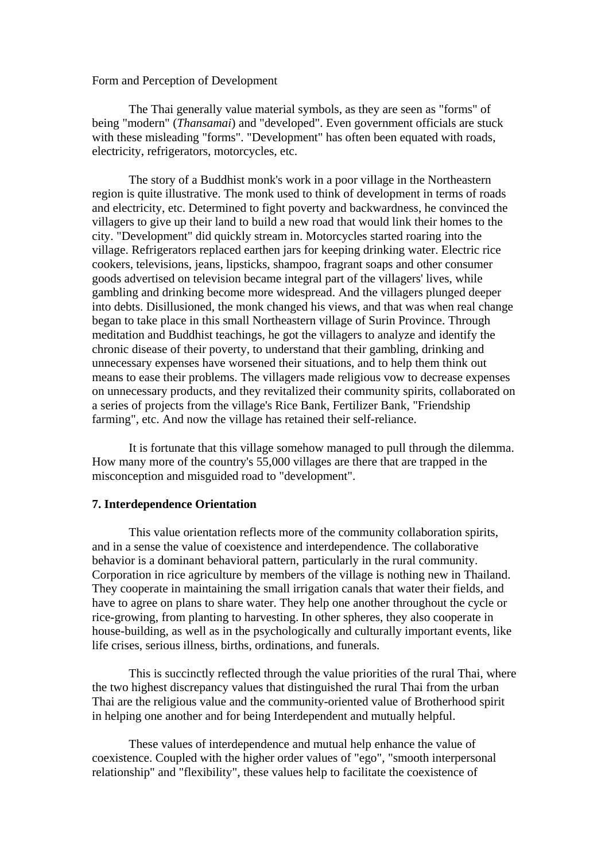### Form and Perception of Development

The Thai generally value material symbols, as they are seen as "forms" of being "modern" (*Thansamai*) and "developed". Even government officials are stuck with these misleading "forms". "Development" has often been equated with roads, electricity, refrigerators, motorcycles, etc.

The story of a Buddhist monk's work in a poor village in the Northeastern region is quite illustrative. The monk used to think of development in terms of roads and electricity, etc. Determined to fight poverty and backwardness, he convinced the villagers to give up their land to build a new road that would link their homes to the city. "Development" did quickly stream in. Motorcycles started roaring into the village. Refrigerators replaced earthen jars for keeping drinking water. Electric rice cookers, televisions, jeans, lipsticks, shampoo, fragrant soaps and other consumer goods advertised on television became integral part of the villagers' lives, while gambling and drinking become more widespread. And the villagers plunged deeper into debts. Disillusioned, the monk changed his views, and that was when real change began to take place in this small Northeastern village of Surin Province. Through meditation and Buddhist teachings, he got the villagers to analyze and identify the chronic disease of their poverty, to understand that their gambling, drinking and unnecessary expenses have worsened their situations, and to help them think out means to ease their problems. The villagers made religious vow to decrease expenses on unnecessary products, and they revitalized their community spirits, collaborated on a series of projects from the village's Rice Bank, Fertilizer Bank, "Friendship farming", etc. And now the village has retained their self-reliance.

It is fortunate that this village somehow managed to pull through the dilemma. How many more of the country's 55,000 villages are there that are trapped in the misconception and misguided road to "development".

### **7. Interdependence Orientation**

This value orientation reflects more of the community collaboration spirits, and in a sense the value of coexistence and interdependence. The collaborative behavior is a dominant behavioral pattern, particularly in the rural community. Corporation in rice agriculture by members of the village is nothing new in Thailand. They cooperate in maintaining the small irrigation canals that water their fields, and have to agree on plans to share water. They help one another throughout the cycle or rice-growing, from planting to harvesting. In other spheres, they also cooperate in house-building, as well as in the psychologically and culturally important events, like life crises, serious illness, births, ordinations, and funerals.

This is succinctly reflected through the value priorities of the rural Thai, where the two highest discrepancy values that distinguished the rural Thai from the urban Thai are the religious value and the community-oriented value of Brotherhood spirit in helping one another and for being Interdependent and mutually helpful.

These values of interdependence and mutual help enhance the value of coexistence. Coupled with the higher order values of "ego", "smooth interpersonal relationship" and "flexibility", these values help to facilitate the coexistence of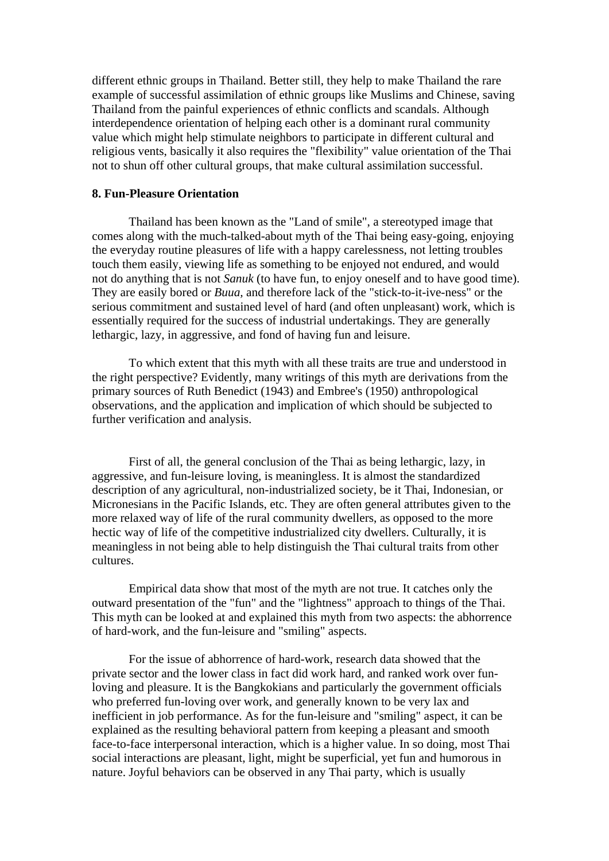different ethnic groups in Thailand. Better still, they help to make Thailand the rare example of successful assimilation of ethnic groups like Muslims and Chinese, saving Thailand from the painful experiences of ethnic conflicts and scandals. Although interdependence orientation of helping each other is a dominant rural community value which might help stimulate neighbors to participate in different cultural and religious vents, basically it also requires the "flexibility" value orientation of the Thai not to shun off other cultural groups, that make cultural assimilation successful.

# **8. Fun-Pleasure Orientation**

Thailand has been known as the "Land of smile", a stereotyped image that comes along with the much-talked-about myth of the Thai being easy-going, enjoying the everyday routine pleasures of life with a happy carelessness, not letting troubles touch them easily, viewing life as something to be enjoyed not endured, and would not do anything that is not *Sanuk* (to have fun, to enjoy oneself and to have good time). They are easily bored or *Buua,* and therefore lack of the "stick-to-it-ive-ness" or the serious commitment and sustained level of hard (and often unpleasant) work, which is essentially required for the success of industrial undertakings. They are generally lethargic, lazy, in aggressive, and fond of having fun and leisure.

To which extent that this myth with all these traits are true and understood in the right perspective? Evidently, many writings of this myth are derivations from the primary sources of Ruth Benedict (1943) and Embree's (1950) anthropological observations, and the application and implication of which should be subjected to further verification and analysis.

First of all, the general conclusion of the Thai as being lethargic, lazy, in aggressive, and fun-leisure loving, is meaningless. It is almost the standardized description of any agricultural, non-industrialized society, be it Thai, Indonesian, or Micronesians in the Pacific Islands, etc. They are often general attributes given to the more relaxed way of life of the rural community dwellers, as opposed to the more hectic way of life of the competitive industrialized city dwellers. Culturally, it is meaningless in not being able to help distinguish the Thai cultural traits from other cultures.

 Empirical data show that most of the myth are not true. It catches only the outward presentation of the "fun" and the "lightness" approach to things of the Thai. This myth can be looked at and explained this myth from two aspects: the abhorrence of hard-work, and the fun-leisure and "smiling" aspects.

 For the issue of abhorrence of hard-work, research data showed that the private sector and the lower class in fact did work hard, and ranked work over funloving and pleasure. It is the Bangkokians and particularly the government officials who preferred fun-loving over work, and generally known to be very lax and inefficient in job performance. As for the fun-leisure and "smiling" aspect, it can be explained as the resulting behavioral pattern from keeping a pleasant and smooth face-to-face interpersonal interaction, which is a higher value. In so doing, most Thai social interactions are pleasant, light, might be superficial, yet fun and humorous in nature. Joyful behaviors can be observed in any Thai party, which is usually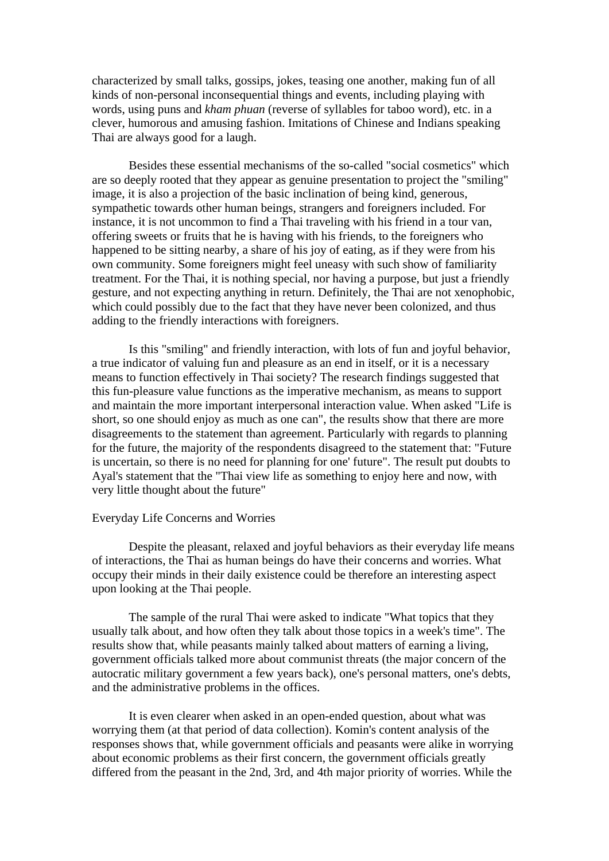characterized by small talks, gossips, jokes, teasing one another, making fun of all kinds of non-personal inconsequential things and events, including playing with words, using puns and *kham phuan* (reverse of syllables for taboo word), etc. in a clever, humorous and amusing fashion. Imitations of Chinese and Indians speaking Thai are always good for a laugh.

 Besides these essential mechanisms of the so-called "social cosmetics" which are so deeply rooted that they appear as genuine presentation to project the "smiling" image, it is also a projection of the basic inclination of being kind, generous, sympathetic towards other human beings, strangers and foreigners included. For instance, it is not uncommon to find a Thai traveling with his friend in a tour van, offering sweets or fruits that he is having with his friends, to the foreigners who happened to be sitting nearby, a share of his joy of eating, as if they were from his own community. Some foreigners might feel uneasy with such show of familiarity treatment. For the Thai, it is nothing special, nor having a purpose, but just a friendly gesture, and not expecting anything in return. Definitely, the Thai are not xenophobic, which could possibly due to the fact that they have never been colonized, and thus adding to the friendly interactions with foreigners.

 Is this "smiling" and friendly interaction, with lots of fun and joyful behavior, a true indicator of valuing fun and pleasure as an end in itself, or it is a necessary means to function effectively in Thai society? The research findings suggested that this fun-pleasure value functions as the imperative mechanism, as means to support and maintain the more important interpersonal interaction value. When asked "Life is short, so one should enjoy as much as one can", the results show that there are more disagreements to the statement than agreement. Particularly with regards to planning for the future, the majority of the respondents disagreed to the statement that: "Future is uncertain, so there is no need for planning for one' future". The result put doubts to Ayal's statement that the "Thai view life as something to enjoy here and now, with very little thought about the future"

## Everyday Life Concerns and Worries

 Despite the pleasant, relaxed and joyful behaviors as their everyday life means of interactions, the Thai as human beings do have their concerns and worries. What occupy their minds in their daily existence could be therefore an interesting aspect upon looking at the Thai people.

 The sample of the rural Thai were asked to indicate "What topics that they usually talk about, and how often they talk about those topics in a week's time". The results show that, while peasants mainly talked about matters of earning a living, government officials talked more about communist threats (the major concern of the autocratic military government a few years back), one's personal matters, one's debts, and the administrative problems in the offices.

 It is even clearer when asked in an open-ended question, about what was worrying them (at that period of data collection). Komin's content analysis of the responses shows that, while government officials and peasants were alike in worrying about economic problems as their first concern, the government officials greatly differed from the peasant in the 2nd, 3rd, and 4th major priority of worries. While the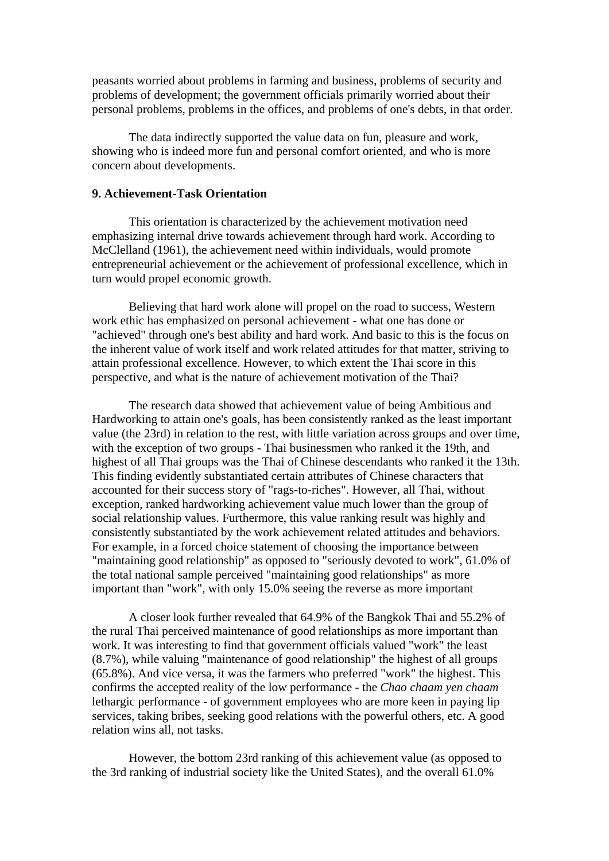peasants worried about problems in farming and business, problems of security and problems of development; the government officials primarily worried about their personal problems, problems in the offices, and problems of one's debts, in that order.

 The data indirectly supported the value data on fun, pleasure and work, showing who is indeed more fun and personal comfort oriented, and who is more concern about developments.

# **9. Achievement-Task Orientation**

 This orientation is characterized by the achievement motivation need emphasizing internal drive towards achievement through hard work. According to McClelland (1961), the achievement need within individuals, would promote entrepreneurial achievement or the achievement of professional excellence, which in turn would propel economic growth.

 Believing that hard work alone will propel on the road to success, Western work ethic has emphasized on personal achievement - what one has done or "achieved" through one's best ability and hard work. And basic to this is the focus on the inherent value of work itself and work related attitudes for that matter, striving to attain professional excellence. However, to which extent the Thai score in this perspective, and what is the nature of achievement motivation of the Thai?

 The research data showed that achievement value of being Ambitious and Hardworking to attain one's goals, has been consistently ranked as the least important value (the 23rd) in relation to the rest, with little variation across groups and over time, with the exception of two groups - Thai businessmen who ranked it the 19th, and highest of all Thai groups was the Thai of Chinese descendants who ranked it the 13th. This finding evidently substantiated certain attributes of Chinese characters that accounted for their success story of "rags-to-riches". However, all Thai, without exception, ranked hardworking achievement value much lower than the group of social relationship values. Furthermore, this value ranking result was highly and consistently substantiated by the work achievement related attitudes and behaviors. For example, in a forced choice statement of choosing the importance between "maintaining good relationship" as opposed to "seriously devoted to work", 61.0% of the total national sample perceived "maintaining good relationships" as more important than "work", with only 15.0% seeing the reverse as more important

 A closer look further revealed that 64.9% of the Bangkok Thai and 55.2% of the rural Thai perceived maintenance of good relationships as more important than work. It was interesting to find that government officials valued "work" the least (8.7%), while valuing "maintenance of good relationship" the highest of all groups (65.8%). And vice versa, it was the farmers who preferred "work" the highest. This confirms the accepted reality of the low performance - the *Chao chaam yen chaam* lethargic performance - of government employees who are more keen in paying lip services, taking bribes, seeking good relations with the powerful others, etc. A good relation wins all, not tasks.

 However, the bottom 23rd ranking of this achievement value (as opposed to the 3rd ranking of industrial society like the United States), and the overall 61.0%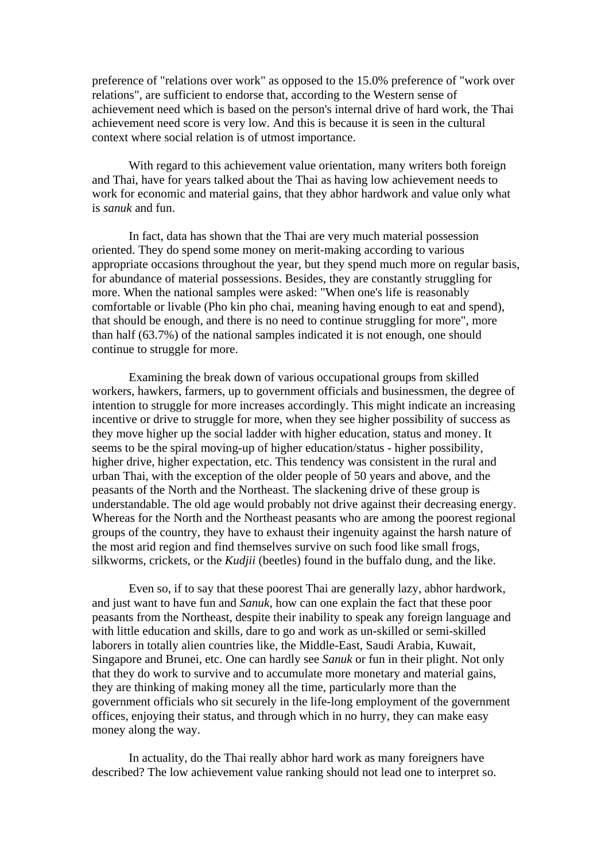preference of "relations over work" as opposed to the 15.0% preference of "work over relations", are sufficient to endorse that, according to the Western sense of achievement need which is based on the person's internal drive of hard work, the Thai achievement need score is very low. And this is because it is seen in the cultural context where social relation is of utmost importance.

 With regard to this achievement value orientation, many writers both foreign and Thai, have for years talked about the Thai as having low achievement needs to work for economic and material gains, that they abhor hardwork and value only what is *sanuk* and fun.

 In fact, data has shown that the Thai are very much material possession oriented. They do spend some money on merit-making according to various appropriate occasions throughout the year, but they spend much more on regular basis, for abundance of material possessions. Besides, they are constantly struggling for more. When the national samples were asked: "When one's life is reasonably comfortable or livable (Pho kin pho chai, meaning having enough to eat and spend), that should be enough, and there is no need to continue struggling for more", more than half (63.7%) of the national samples indicated it is not enough, one should continue to struggle for more.

 Examining the break down of various occupational groups from skilled workers, hawkers, farmers, up to government officials and businessmen, the degree of intention to struggle for more increases accordingly. This might indicate an increasing incentive or drive to struggle for more, when they see higher possibility of success as they move higher up the social ladder with higher education, status and money. It seems to be the spiral moving-up of higher education/status - higher possibility, higher drive, higher expectation, etc. This tendency was consistent in the rural and urban Thai, with the exception of the older people of 50 years and above, and the peasants of the North and the Northeast. The slackening drive of these group is understandable. The old age would probably not drive against their decreasing energy. Whereas for the North and the Northeast peasants who are among the poorest regional groups of the country, they have to exhaust their ingenuity against the harsh nature of the most arid region and find themselves survive on such food like small frogs, silkworms, crickets, or the *Kudjii* (beetles) found in the buffalo dung, and the like.

 Even so, if to say that these poorest Thai are generally lazy, abhor hardwork, and just want to have fun and *Sanuk,* how can one explain the fact that these poor peasants from the Northeast, despite their inability to speak any foreign language and with little education and skills, dare to go and work as un-skilled or semi-skilled laborers in totally alien countries like, the Middle-East, Saudi Arabia, Kuwait, Singapore and Brunei, etc. One can hardly see *Sanuk* or fun in their plight. Not only that they do work to survive and to accumulate more monetary and material gains, they are thinking of making money all the time, particularly more than the government officials who sit securely in the life-long employment of the government offices, enjoying their status, and through which in no hurry, they can make easy money along the way.

 In actuality, do the Thai really abhor hard work as many foreigners have described? The low achievement value ranking should not lead one to interpret so.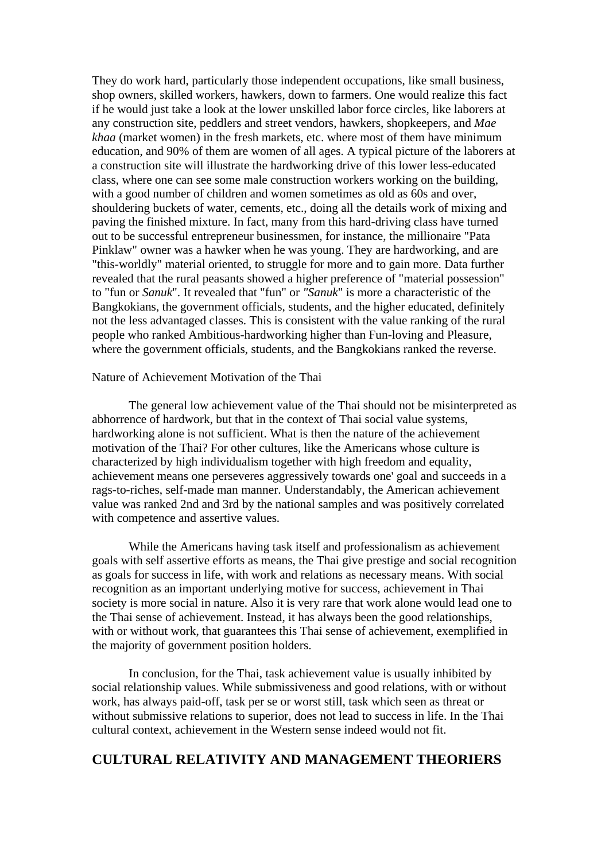They do work hard, particularly those independent occupations, like small business, shop owners, skilled workers, hawkers, down to farmers. One would realize this fact if he would just take a look at the lower unskilled labor force circles, like laborers at any construction site, peddlers and street vendors, hawkers, shopkeepers, and *Mae khaa* (market women) in the fresh markets, etc. where most of them have minimum education, and 90% of them are women of all ages. A typical picture of the laborers at a construction site will illustrate the hardworking drive of this lower less-educated class, where one can see some male construction workers working on the building, with a good number of children and women sometimes as old as 60s and over, shouldering buckets of water, cements, etc., doing all the details work of mixing and paving the finished mixture. In fact, many from this hard-driving class have turned out to be successful entrepreneur businessmen, for instance, the millionaire "Pata Pinklaw" owner was a hawker when he was young. They are hardworking, and are "this-worldly" material oriented, to struggle for more and to gain more. Data further revealed that the rural peasants showed a higher preference of "material possession" to "fun or *Sanuk*". It revealed that "fun" or *"Sanuk*" is more a characteristic of the Bangkokians, the government officials, students, and the higher educated, definitely not the less advantaged classes. This is consistent with the value ranking of the rural people who ranked Ambitious-hardworking higher than Fun-loving and Pleasure, where the government officials, students, and the Bangkokians ranked the reverse.

# Nature of Achievement Motivation of the Thai

 The general low achievement value of the Thai should not be misinterpreted as abhorrence of hardwork, but that in the context of Thai social value systems, hardworking alone is not sufficient. What is then the nature of the achievement motivation of the Thai? For other cultures, like the Americans whose culture is characterized by high individualism together with high freedom and equality, achievement means one perseveres aggressively towards one' goal and succeeds in a rags-to-riches, self-made man manner. Understandably, the American achievement value was ranked 2nd and 3rd by the national samples and was positively correlated with competence and assertive values.

 While the Americans having task itself and professionalism as achievement goals with self assertive efforts as means, the Thai give prestige and social recognition as goals for success in life, with work and relations as necessary means. With social recognition as an important underlying motive for success, achievement in Thai society is more social in nature. Also it is very rare that work alone would lead one to the Thai sense of achievement. Instead, it has always been the good relationships, with or without work, that guarantees this Thai sense of achievement, exemplified in the majority of government position holders.

 In conclusion, for the Thai, task achievement value is usually inhibited by social relationship values. While submissiveness and good relations, with or without work, has always paid-off, task per se or worst still, task which seen as threat or without submissive relations to superior, does not lead to success in life. In the Thai cultural context, achievement in the Western sense indeed would not fit.

# **CULTURAL RELATIVITY AND MANAGEMENT THEORIERS**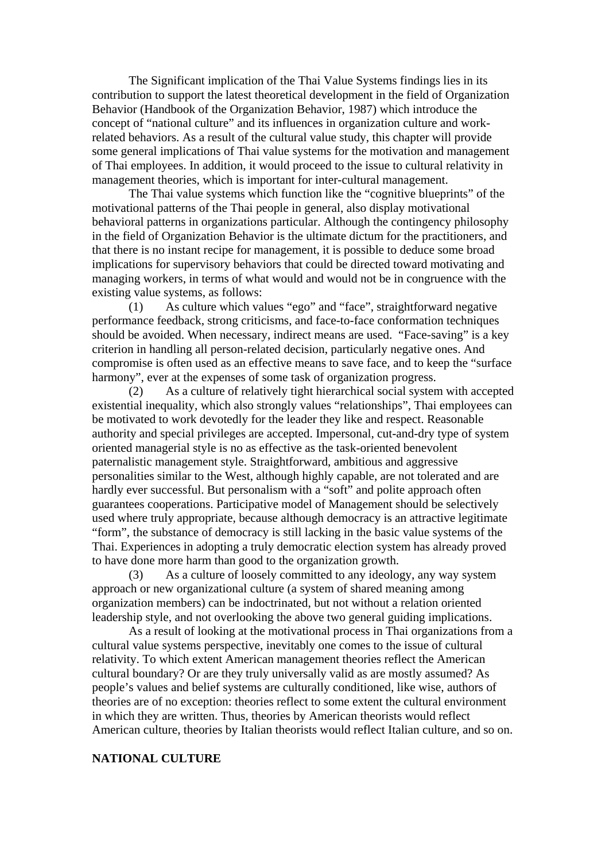The Significant implication of the Thai Value Systems findings lies in its contribution to support the latest theoretical development in the field of Organization Behavior (Handbook of the Organization Behavior, 1987) which introduce the concept of "national culture" and its influences in organization culture and workrelated behaviors. As a result of the cultural value study, this chapter will provide some general implications of Thai value systems for the motivation and management of Thai employees. In addition, it would proceed to the issue to cultural relativity in management theories, which is important for inter-cultural management.

 The Thai value systems which function like the "cognitive blueprints" of the motivational patterns of the Thai people in general, also display motivational behavioral patterns in organizations particular. Although the contingency philosophy in the field of Organization Behavior is the ultimate dictum for the practitioners, and that there is no instant recipe for management, it is possible to deduce some broad implications for supervisory behaviors that could be directed toward motivating and managing workers, in terms of what would and would not be in congruence with the existing value systems, as follows:

(1) As culture which values "ego" and "face", straightforward negative performance feedback, strong criticisms, and face-to-face conformation techniques should be avoided. When necessary, indirect means are used. "Face-saving" is a key criterion in handling all person-related decision, particularly negative ones. And compromise is often used as an effective means to save face, and to keep the "surface harmony", ever at the expenses of some task of organization progress.

(2) As a culture of relatively tight hierarchical social system with accepted existential inequality, which also strongly values "relationships", Thai employees can be motivated to work devotedly for the leader they like and respect. Reasonable authority and special privileges are accepted. Impersonal, cut-and-dry type of system oriented managerial style is no as effective as the task-oriented benevolent paternalistic management style. Straightforward, ambitious and aggressive personalities similar to the West, although highly capable, are not tolerated and are hardly ever successful. But personalism with a "soft" and polite approach often guarantees cooperations. Participative model of Management should be selectively used where truly appropriate, because although democracy is an attractive legitimate "form", the substance of democracy is still lacking in the basic value systems of the Thai. Experiences in adopting a truly democratic election system has already proved to have done more harm than good to the organization growth.

(3) As a culture of loosely committed to any ideology, any way system approach or new organizational culture (a system of shared meaning among organization members) can be indoctrinated, but not without a relation oriented leadership style, and not overlooking the above two general guiding implications.

As a result of looking at the motivational process in Thai organizations from a cultural value systems perspective, inevitably one comes to the issue of cultural relativity. To which extent American management theories reflect the American cultural boundary? Or are they truly universally valid as are mostly assumed? As people's values and belief systems are culturally conditioned, like wise, authors of theories are of no exception: theories reflect to some extent the cultural environment in which they are written. Thus, theories by American theorists would reflect American culture, theories by Italian theorists would reflect Italian culture, and so on.

# **NATIONAL CULTURE**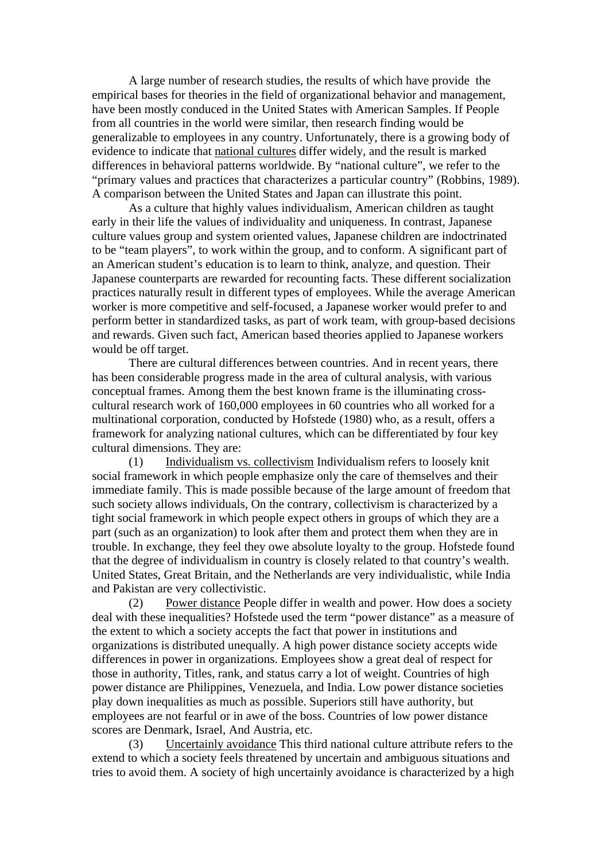A large number of research studies, the results of which have provide the empirical bases for theories in the field of organizational behavior and management, have been mostly conduced in the United States with American Samples. If People from all countries in the world were similar, then research finding would be generalizable to employees in any country. Unfortunately, there is a growing body of evidence to indicate that national cultures differ widely, and the result is marked differences in behavioral patterns worldwide. By "national culture", we refer to the "primary values and practices that characterizes a particular country" (Robbins, 1989). A comparison between the United States and Japan can illustrate this point.

 As a culture that highly values individualism, American children as taught early in their life the values of individuality and uniqueness. In contrast, Japanese culture values group and system oriented values, Japanese children are indoctrinated to be "team players", to work within the group, and to conform. A significant part of an American student's education is to learn to think, analyze, and question. Their Japanese counterparts are rewarded for recounting facts. These different socialization practices naturally result in different types of employees. While the average American worker is more competitive and self-focused, a Japanese worker would prefer to and perform better in standardized tasks, as part of work team, with group-based decisions and rewards. Given such fact, American based theories applied to Japanese workers would be off target.

 There are cultural differences between countries. And in recent years, there has been considerable progress made in the area of cultural analysis, with various conceptual frames. Among them the best known frame is the illuminating crosscultural research work of 160,000 employees in 60 countries who all worked for a multinational corporation, conducted by Hofstede (1980) who, as a result, offers a framework for analyzing national cultures, which can be differentiated by four key cultural dimensions. They are:

(1) Individualism vs. collectivism Individualism refers to loosely knit social framework in which people emphasize only the care of themselves and their immediate family. This is made possible because of the large amount of freedom that such society allows individuals, On the contrary, collectivism is characterized by a tight social framework in which people expect others in groups of which they are a part (such as an organization) to look after them and protect them when they are in trouble. In exchange, they feel they owe absolute loyalty to the group. Hofstede found that the degree of individualism in country is closely related to that country's wealth. United States, Great Britain, and the Netherlands are very individualistic, while India and Pakistan are very collectivistic.

(2) Power distance People differ in wealth and power. How does a society deal with these inequalities? Hofstede used the term "power distance" as a measure of the extent to which a society accepts the fact that power in institutions and organizations is distributed unequally. A high power distance society accepts wide differences in power in organizations. Employees show a great deal of respect for those in authority, Titles, rank, and status carry a lot of weight. Countries of high power distance are Philippines, Venezuela, and India. Low power distance societies play down inequalities as much as possible. Superiors still have authority, but employees are not fearful or in awe of the boss. Countries of low power distance scores are Denmark, Israel, And Austria, etc.

(3) Uncertainly avoidance This third national culture attribute refers to the extend to which a society feels threatened by uncertain and ambiguous situations and tries to avoid them. A society of high uncertainly avoidance is characterized by a high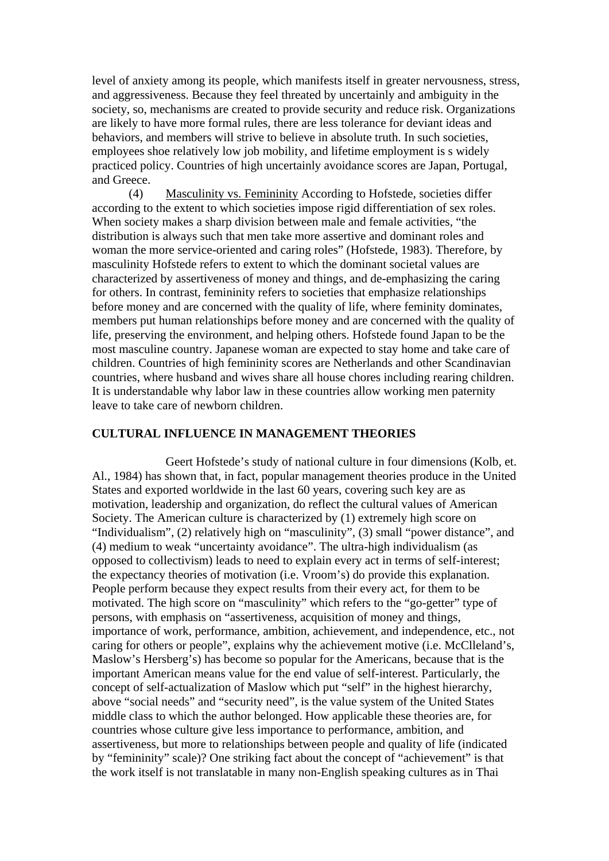level of anxiety among its people, which manifests itself in greater nervousness, stress, and aggressiveness. Because they feel threated by uncertainly and ambiguity in the society, so, mechanisms are created to provide security and reduce risk. Organizations are likely to have more formal rules, there are less tolerance for deviant ideas and behaviors, and members will strive to believe in absolute truth. In such societies, employees shoe relatively low job mobility, and lifetime employment is s widely practiced policy. Countries of high uncertainly avoidance scores are Japan, Portugal, and Greece.

(4) Masculinity vs. Femininity According to Hofstede, societies differ according to the extent to which societies impose rigid differentiation of sex roles. When society makes a sharp division between male and female activities, "the distribution is always such that men take more assertive and dominant roles and woman the more service-oriented and caring roles" (Hofstede, 1983). Therefore, by masculinity Hofstede refers to extent to which the dominant societal values are characterized by assertiveness of money and things, and de-emphasizing the caring for others. In contrast, femininity refers to societies that emphasize relationships before money and are concerned with the quality of life, where feminity dominates, members put human relationships before money and are concerned with the quality of life, preserving the environment, and helping others. Hofstede found Japan to be the most masculine country. Japanese woman are expected to stay home and take care of children. Countries of high femininity scores are Netherlands and other Scandinavian countries, where husband and wives share all house chores including rearing children. It is understandable why labor law in these countries allow working men paternity leave to take care of newborn children.

# **CULTURAL INFLUENCE IN MANAGEMENT THEORIES**

 Geert Hofstede's study of national culture in four dimensions (Kolb, et. Al., 1984) has shown that, in fact, popular management theories produce in the United States and exported worldwide in the last 60 years, covering such key are as motivation, leadership and organization, do reflect the cultural values of American Society. The American culture is characterized by (1) extremely high score on "Individualism", (2) relatively high on "masculinity", (3) small "power distance", and (4) medium to weak "uncertainty avoidance". The ultra-high individualism (as opposed to collectivism) leads to need to explain every act in terms of self-interest; the expectancy theories of motivation (i.e. Vroom's) do provide this explanation. People perform because they expect results from their every act, for them to be motivated. The high score on "masculinity" which refers to the "go-getter" type of persons, with emphasis on "assertiveness, acquisition of money and things, importance of work, performance, ambition, achievement, and independence, etc., not caring for others or people", explains why the achievement motive (i.e. McClleland's, Maslow's Hersberg's) has become so popular for the Americans, because that is the important American means value for the end value of self-interest. Particularly, the concept of self-actualization of Maslow which put "self" in the highest hierarchy, above "social needs" and "security need", is the value system of the United States middle class to which the author belonged. How applicable these theories are, for countries whose culture give less importance to performance, ambition, and assertiveness, but more to relationships between people and quality of life (indicated by "femininity" scale)? One striking fact about the concept of "achievement" is that the work itself is not translatable in many non-English speaking cultures as in Thai